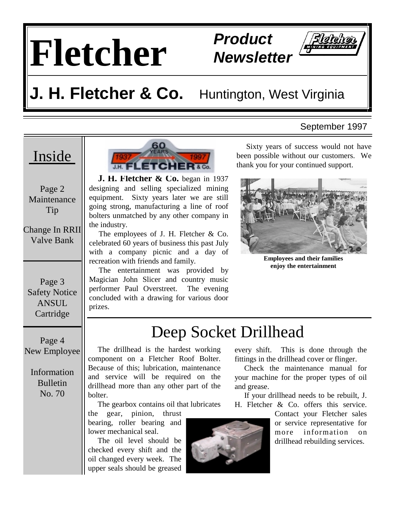# **Fletcher Product**

# **Newsletter**



### **J. H. Fletcher & Co.** Huntington, West Virginia

#### September 1997

### Inside

Page 2 Maintenance Tip

Change In RRII Valve Bank

Page 3 Safety Notice ANSUL **Cartridge** 

Page 4 New Employee

> Information Bulletin No. 70

 **J. H. Fletcher & Co.** began in 1937 designing and selling specialized mining equipment. Sixty years later we are still going strong, manufacturing a line of roof bolters unmatched by any other company in the industry.

 The employees of J. H. Fletcher & Co. celebrated 60 years of business this past July with a company picnic and a day of recreation with friends and family.

 The entertainment was provided by Magician John Slicer and country music performer Paul Overstreet. The evening concluded with a drawing for various door prizes.

 Sixty years of success would not have been possible without our customers. We thank you for your continued support.



**Employees and their families enjoy the entertainment** 

### Deep Socket Drillhead

 The drillhead is the hardest working component on a Fletcher Roof Bolter. Because of this; lubrication, maintenance and service will be required on the drillhead more than any other part of the bolter.

The gearbox contains oil that lubricates

the gear, pinion, thrust bearing, roller bearing and lower mechanical seal.

 The oil level should be checked every shift and the oil changed every week. The upper seals should be greased



every shift. This is done through the fittings in the drillhead cover or flinger.

 Check the maintenance manual for your machine for the proper types of oil and grease.

 If your drillhead needs to be rebuilt, J. H. Fletcher & Co. offers this service.

Contact your Fletcher sales or service representative for more information on drillhead rebuilding services.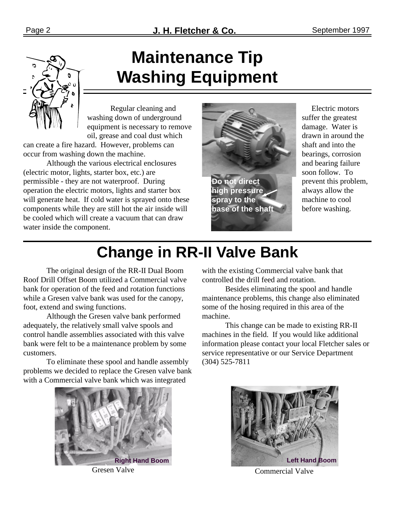## **Maintenance Tip Washing Equipment**

 Regular cleaning and washing down of underground equipment is necessary to remove oil, grease and coal dust which

can create a fire hazard. However, problems can occur from washing down the machine.

 Although the various electrical enclosures (electric motor, lights, starter box, etc.) are permissible - they are not waterproof. During operation the electric motors, lights and starter box will generate heat. If cold water is sprayed onto these components while they are still hot the air inside will be cooled which will create a vacuum that can draw water inside the component.



 Electric motors suffer the greatest damage. Water is drawn in around the shaft and into the bearings, corrosion and bearing failure soon follow. To prevent this problem, always allow the machine to cool before washing.

## **Change in RR-II Valve Bank**

 The original design of the RR-II Dual Boom Roof Drill Offset Boom utilized a Commercial valve bank for operation of the feed and rotation functions while a Gresen valve bank was used for the canopy, foot, extend and swing functions.

 Although the Gresen valve bank performed adequately, the relatively small valve spools and control handle assemblies associated with this valve bank were felt to be a maintenance problem by some customers.

 To eliminate these spool and handle assembly problems we decided to replace the Gresen valve bank with a Commercial valve bank which was integrated



with the existing Commercial valve bank that controlled the drill feed and rotation.

 Besides eliminating the spool and handle maintenance problems, this change also eliminated some of the hosing required in this area of the machine.

 This change can be made to existing RR-II machines in the field. If you would like additional information please contact your local Fletcher sales or service representative or our Service Department (304) 525-7811



Gresen Valve Commercial Valve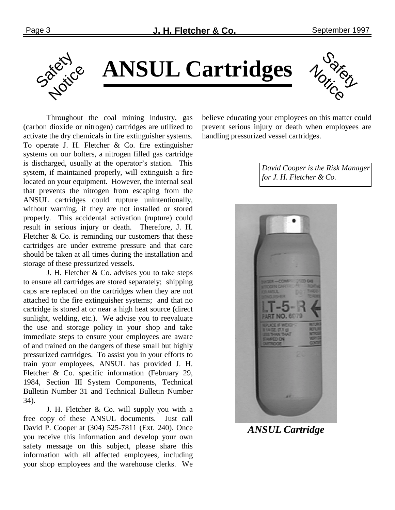

**ANSUL Cartridges** 
$$
\psi_{\delta}
$$



 Throughout the coal mining industry, gas (carbon dioxide or nitrogen) cartridges are utilized to activate the dry chemicals in fire extinguisher systems. To operate J. H. Fletcher & Co. fire extinguisher systems on our bolters, a nitrogen filled gas cartridge is discharged, usually at the operator's station. This system, if maintained properly, will extinguish a fire located on your equipment. However, the internal seal that prevents the nitrogen from escaping from the ANSUL cartridges could rupture unintentionally, without warning, if they are not installed or stored properly. This accidental activation (rupture) could result in serious injury or death. Therefore, J. H. Fletcher  $\&$  Co. is reminding our customers that these cartridges are under extreme pressure and that care should be taken at all times during the installation and storage of these pressurized vessels.

 J. H. Fletcher & Co. advises you to take steps to ensure all cartridges are stored separately; shipping caps are replaced on the cartridges when they are not attached to the fire extinguisher systems; and that no cartridge is stored at or near a high heat source (direct sunlight, welding, etc.). We advise you to reevaluate the use and storage policy in your shop and take immediate steps to ensure your employees are aware of and trained on the dangers of these small but highly pressurized cartridges. To assist you in your efforts to train your employees, ANSUL has provided J. H. Fletcher & Co. specific information (February 29, 1984, Section III System Components, Technical Bulletin Number 31 and Technical Bulletin Number 34).

 J. H. Fletcher & Co. will supply you with a free copy of these ANSUL documents. Just call David P. Cooper at (304) 525-7811 (Ext. 240). Once you receive this information and develop your own safety message on this subject, please share this information with all affected employees, including your shop employees and the warehouse clerks. We believe educating your employees on this matter could prevent serious injury or death when employees are handling pressurized vessel cartridges.

> *David Cooper is the Risk Manager for J. H. Fletcher & Co.*



#### *ANSUL Cartridge*